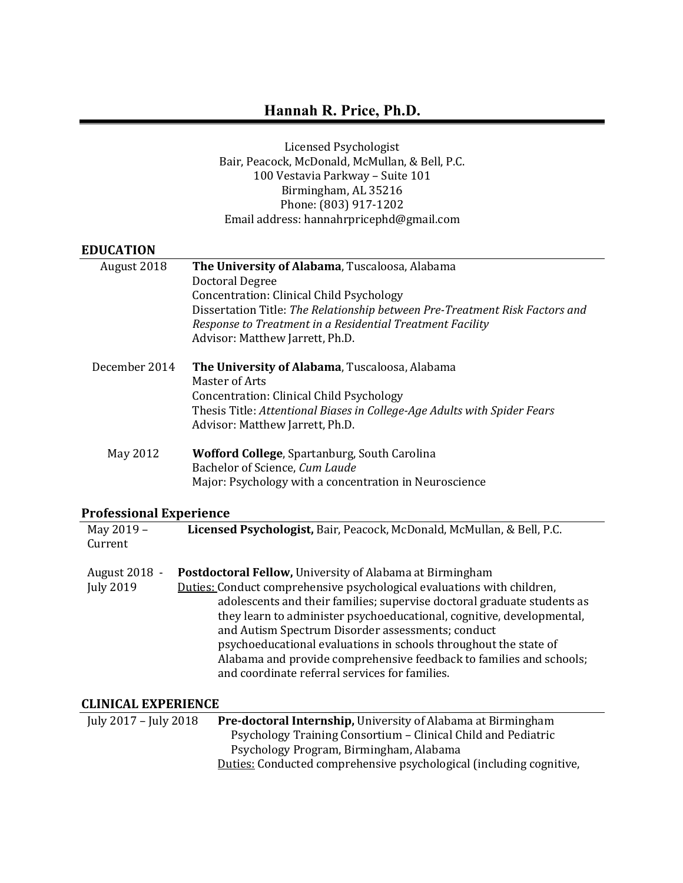Licensed Psychologist Bair, Peacock, McDonald, McMullan, & Bell, P.C. 100 Vestavia Parkway - Suite 101 Birmingham, AL 35216 Phone: (803) 917-1202 Email address: hannahrpricephd@gmail.com

# **EDUCATION**

| August 2018            | The University of Alabama, Tuscaloosa, Alabama                              |
|------------------------|-----------------------------------------------------------------------------|
|                        | <b>Doctoral Degree</b>                                                      |
|                        | Concentration: Clinical Child Psychology                                    |
|                        | Dissertation Title: The Relationship between Pre-Treatment Risk Factors and |
|                        | Response to Treatment in a Residential Treatment Facility                   |
|                        | Advisor: Matthew Jarrett, Ph.D.                                             |
| December 2014          | The University of Alabama, Tuscaloosa, Alabama<br>Master of Arts            |
|                        | Concentration: Clinical Child Psychology                                    |
|                        | Thesis Title: Attentional Biases in College-Age Adults with Spider Fears    |
|                        | Advisor: Matthew Jarrett, Ph.D.                                             |
|                        |                                                                             |
| May 2012               | Wofford College, Spartanburg, South Carolina                                |
|                        | Bachelor of Science, Cum Laude                                              |
|                        | Major: Psychology with a concentration in Neuroscience                      |
|                        |                                                                             |
| rofessional Experience |                                                                             |
| May 2019 -             | Licensed Psychologist, Bair, Peacock, McDonald, McMullan, & Bell, P.C.      |
| Current                |                                                                             |
|                        |                                                                             |
| August 2018 -          | Postdoctoral Fellow, University of Alabama at Birmingham                    |
| July 2019              | Duties: Conduct comprehensive psychological evaluations with children,      |
|                        | adolescents and their families; supervise doctoral graduate students as     |
|                        | they learn to administer psychoeducational, cognitive, developmental,       |
|                        | and Autism Spectrum Disorder assessments; conduct                           |

#### **Professional Experience**

| May 2019 -<br>Current             | Licensed Psychologist, Bair, Peacock, McDonald, McMullan, & Bell, P.C.                                                                                                                                                                                                                                                                                                                                                                                                                                                                   |
|-----------------------------------|------------------------------------------------------------------------------------------------------------------------------------------------------------------------------------------------------------------------------------------------------------------------------------------------------------------------------------------------------------------------------------------------------------------------------------------------------------------------------------------------------------------------------------------|
| August 2018 -<br><b>July 2019</b> | Postdoctoral Fellow, University of Alabama at Birmingham<br>Duties: Conduct comprehensive psychological evaluations with children,<br>adolescents and their families; supervise doctoral graduate students as<br>they learn to administer psychoeducational, cognitive, developmental,<br>and Autism Spectrum Disorder assessments; conduct<br>psychoeducational evaluations in schools throughout the state of<br>Alabama and provide comprehensive feedback to families and schools;<br>and coordinate referral services for families. |

# **CLINICAL EXPERIENCE**

| July 2017 – July 2018 | <b>Pre-doctoral Internship, University of Alabama at Birmingham</b> |
|-----------------------|---------------------------------------------------------------------|
|                       | Psychology Training Consortium – Clinical Child and Pediatric       |
|                       | Psychology Program, Birmingham, Alabama                             |
|                       | Duties: Conducted comprehensive psychological (including cognitive, |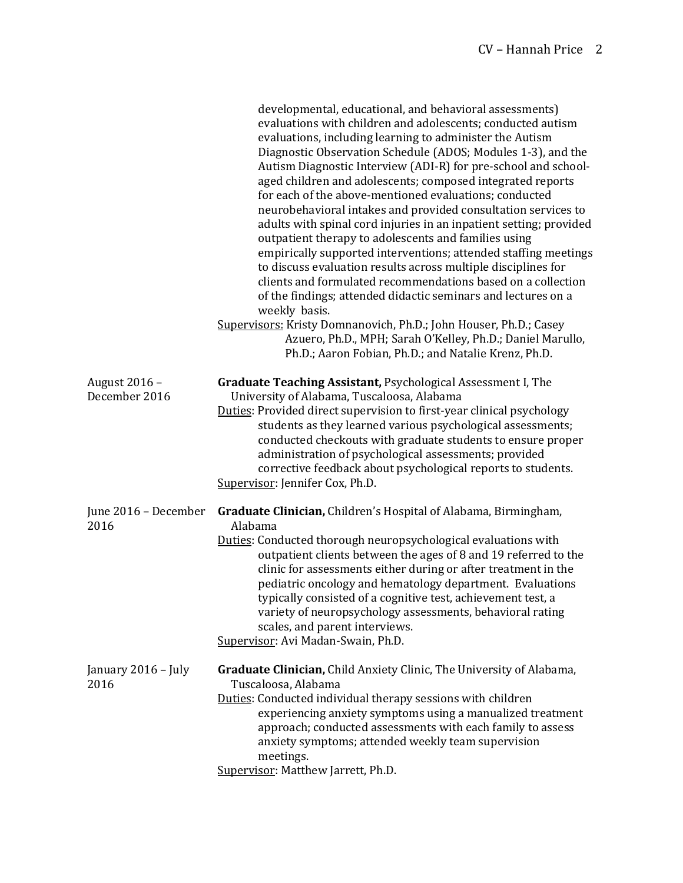|                                | developmental, educational, and behavioral assessments)<br>evaluations with children and adolescents; conducted autism<br>evaluations, including learning to administer the Autism<br>Diagnostic Observation Schedule (ADOS; Modules 1-3), and the<br>Autism Diagnostic Interview (ADI-R) for pre-school and school-<br>aged children and adolescents; composed integrated reports<br>for each of the above-mentioned evaluations; conducted<br>neurobehavioral intakes and provided consultation services to<br>adults with spinal cord injuries in an inpatient setting; provided<br>outpatient therapy to adolescents and families using<br>empirically supported interventions; attended staffing meetings<br>to discuss evaluation results across multiple disciplines for<br>clients and formulated recommendations based on a collection<br>of the findings; attended didactic seminars and lectures on a<br>weekly basis.<br>Supervisors: Kristy Domnanovich, Ph.D.; John Houser, Ph.D.; Casey<br>Azuero, Ph.D., MPH; Sarah O'Kelley, Ph.D.; Daniel Marullo,<br>Ph.D.; Aaron Fobian, Ph.D.; and Natalie Krenz, Ph.D. |
|--------------------------------|------------------------------------------------------------------------------------------------------------------------------------------------------------------------------------------------------------------------------------------------------------------------------------------------------------------------------------------------------------------------------------------------------------------------------------------------------------------------------------------------------------------------------------------------------------------------------------------------------------------------------------------------------------------------------------------------------------------------------------------------------------------------------------------------------------------------------------------------------------------------------------------------------------------------------------------------------------------------------------------------------------------------------------------------------------------------------------------------------------------------------|
| August 2016 -<br>December 2016 | Graduate Teaching Assistant, Psychological Assessment I, The<br>University of Alabama, Tuscaloosa, Alabama<br>Duties: Provided direct supervision to first-year clinical psychology<br>students as they learned various psychological assessments;<br>conducted checkouts with graduate students to ensure proper<br>administration of psychological assessments; provided<br>corrective feedback about psychological reports to students.<br>Supervisor: Jennifer Cox, Ph.D.                                                                                                                                                                                                                                                                                                                                                                                                                                                                                                                                                                                                                                                |
| June 2016 - December<br>2016   | Graduate Clinician, Children's Hospital of Alabama, Birmingham,<br>Alabama<br>Duties: Conducted thorough neuropsychological evaluations with<br>outpatient clients between the ages of 8 and 19 referred to the<br>clinic for assessments either during or after treatment in the<br>pediatric oncology and hematology department. Evaluations<br>typically consisted of a cognitive test, achievement test, a<br>variety of neuropsychology assessments, behavioral rating<br>scales, and parent interviews.<br>Supervisor: Avi Madan-Swain, Ph.D.                                                                                                                                                                                                                                                                                                                                                                                                                                                                                                                                                                          |
| January 2016 - July<br>2016    | Graduate Clinician, Child Anxiety Clinic, The University of Alabama,<br>Tuscaloosa, Alabama<br>Duties: Conducted individual therapy sessions with children<br>experiencing anxiety symptoms using a manualized treatment<br>approach; conducted assessments with each family to assess<br>anxiety symptoms; attended weekly team supervision<br>meetings.<br>Supervisor: Matthew Jarrett, Ph.D.                                                                                                                                                                                                                                                                                                                                                                                                                                                                                                                                                                                                                                                                                                                              |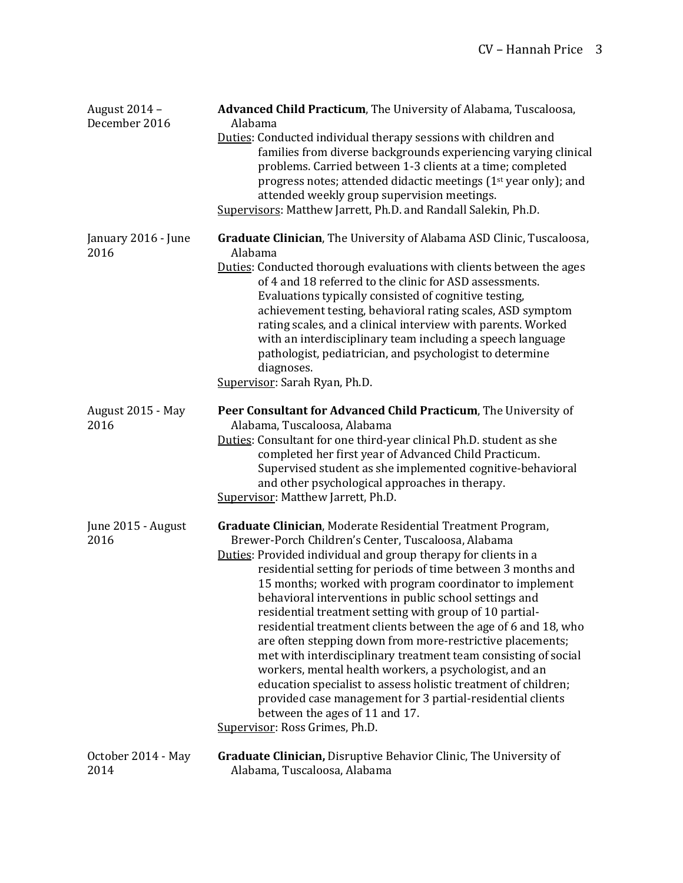| August 2014 -<br>December 2016 | Advanced Child Practicum, The University of Alabama, Tuscaloosa,<br>Alabama<br>Duties: Conducted individual therapy sessions with children and<br>families from diverse backgrounds experiencing varying clinical<br>problems. Carried between 1-3 clients at a time; completed<br>progress notes; attended didactic meetings (1 <sup>st</sup> year only); and<br>attended weekly group supervision meetings.<br>Supervisors: Matthew Jarrett, Ph.D. and Randall Salekin, Ph.D.                                                                                                                                                                                                                                                                                                                                                                                                                     |
|--------------------------------|-----------------------------------------------------------------------------------------------------------------------------------------------------------------------------------------------------------------------------------------------------------------------------------------------------------------------------------------------------------------------------------------------------------------------------------------------------------------------------------------------------------------------------------------------------------------------------------------------------------------------------------------------------------------------------------------------------------------------------------------------------------------------------------------------------------------------------------------------------------------------------------------------------|
| January 2016 - June<br>2016    | Graduate Clinician, The University of Alabama ASD Clinic, Tuscaloosa,<br>Alabama<br>Duties: Conducted thorough evaluations with clients between the ages<br>of 4 and 18 referred to the clinic for ASD assessments.<br>Evaluations typically consisted of cognitive testing,<br>achievement testing, behavioral rating scales, ASD symptom<br>rating scales, and a clinical interview with parents. Worked<br>with an interdisciplinary team including a speech language<br>pathologist, pediatrician, and psychologist to determine<br>diagnoses.<br>Supervisor: Sarah Ryan, Ph.D.                                                                                                                                                                                                                                                                                                                 |
| August 2015 - May<br>2016      | Peer Consultant for Advanced Child Practicum, The University of<br>Alabama, Tuscaloosa, Alabama<br>Duties: Consultant for one third-year clinical Ph.D. student as she<br>completed her first year of Advanced Child Practicum.<br>Supervised student as she implemented cognitive-behavioral<br>and other psychological approaches in therapy.<br>Supervisor: Matthew Jarrett, Ph.D.                                                                                                                                                                                                                                                                                                                                                                                                                                                                                                               |
| June 2015 - August<br>2016     | Graduate Clinician, Moderate Residential Treatment Program,<br>Brewer-Porch Children's Center, Tuscaloosa, Alabama<br>Duties: Provided individual and group therapy for clients in a<br>residential setting for periods of time between 3 months and<br>15 months; worked with program coordinator to implement<br>behavioral interventions in public school settings and<br>residential treatment setting with group of 10 partial-<br>residential treatment clients between the age of 6 and 18, who<br>are often stepping down from more-restrictive placements;<br>met with interdisciplinary treatment team consisting of social<br>workers, mental health workers, a psychologist, and an<br>education specialist to assess holistic treatment of children;<br>provided case management for 3 partial-residential clients<br>between the ages of 11 and 17.<br>Supervisor: Ross Grimes, Ph.D. |
| October 2014 - May<br>2014     | <b>Graduate Clinician, Disruptive Behavior Clinic, The University of</b><br>Alabama, Tuscaloosa, Alabama                                                                                                                                                                                                                                                                                                                                                                                                                                                                                                                                                                                                                                                                                                                                                                                            |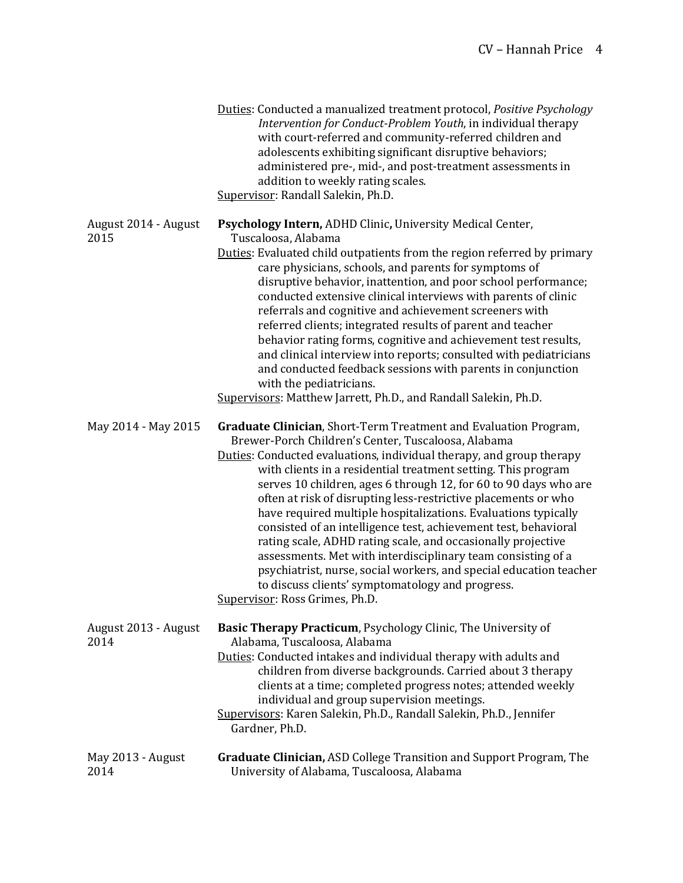|                              | Duties: Conducted a manualized treatment protocol, Positive Psychology<br>Intervention for Conduct-Problem Youth, in individual therapy<br>with court-referred and community-referred children and<br>adolescents exhibiting significant disruptive behaviors;<br>administered pre-, mid-, and post-treatment assessments in<br>addition to weekly rating scales.<br>Supervisor: Randall Salekin, Ph.D.                                                                                                                                                                                                                                                                                                                                                                                                                                 |
|------------------------------|-----------------------------------------------------------------------------------------------------------------------------------------------------------------------------------------------------------------------------------------------------------------------------------------------------------------------------------------------------------------------------------------------------------------------------------------------------------------------------------------------------------------------------------------------------------------------------------------------------------------------------------------------------------------------------------------------------------------------------------------------------------------------------------------------------------------------------------------|
| August 2014 - August<br>2015 | Psychology Intern, ADHD Clinic, University Medical Center,<br>Tuscaloosa, Alabama<br>Duties: Evaluated child outpatients from the region referred by primary<br>care physicians, schools, and parents for symptoms of<br>disruptive behavior, inattention, and poor school performance;<br>conducted extensive clinical interviews with parents of clinic<br>referrals and cognitive and achievement screeners with<br>referred clients; integrated results of parent and teacher<br>behavior rating forms, cognitive and achievement test results,<br>and clinical interview into reports; consulted with pediatricians<br>and conducted feedback sessions with parents in conjunction<br>with the pediatricians.<br>Supervisors: Matthew Jarrett, Ph.D., and Randall Salekin, Ph.D.                                                   |
| May 2014 - May 2015          | Graduate Clinician, Short-Term Treatment and Evaluation Program,<br>Brewer-Porch Children's Center, Tuscaloosa, Alabama<br>Duties: Conducted evaluations, individual therapy, and group therapy<br>with clients in a residential treatment setting. This program<br>serves 10 children, ages 6 through 12, for 60 to 90 days who are<br>often at risk of disrupting less-restrictive placements or who<br>have required multiple hospitalizations. Evaluations typically<br>consisted of an intelligence test, achievement test, behavioral<br>rating scale, ADHD rating scale, and occasionally projective<br>assessments. Met with interdisciplinary team consisting of a<br>psychiatrist, nurse, social workers, and special education teacher<br>to discuss clients' symptomatology and progress.<br>Supervisor: Ross Grimes, Ph.D. |
| August 2013 - August<br>2014 | <b>Basic Therapy Practicum</b> , Psychology Clinic, The University of<br>Alabama, Tuscaloosa, Alabama<br>Duties: Conducted intakes and individual therapy with adults and<br>children from diverse backgrounds. Carried about 3 therapy<br>clients at a time; completed progress notes; attended weekly<br>individual and group supervision meetings.<br>Supervisors: Karen Salekin, Ph.D., Randall Salekin, Ph.D., Jennifer<br>Gardner, Ph.D.                                                                                                                                                                                                                                                                                                                                                                                          |
| May 2013 - August<br>2014    | Graduate Clinician, ASD College Transition and Support Program, The<br>University of Alabama, Tuscaloosa, Alabama                                                                                                                                                                                                                                                                                                                                                                                                                                                                                                                                                                                                                                                                                                                       |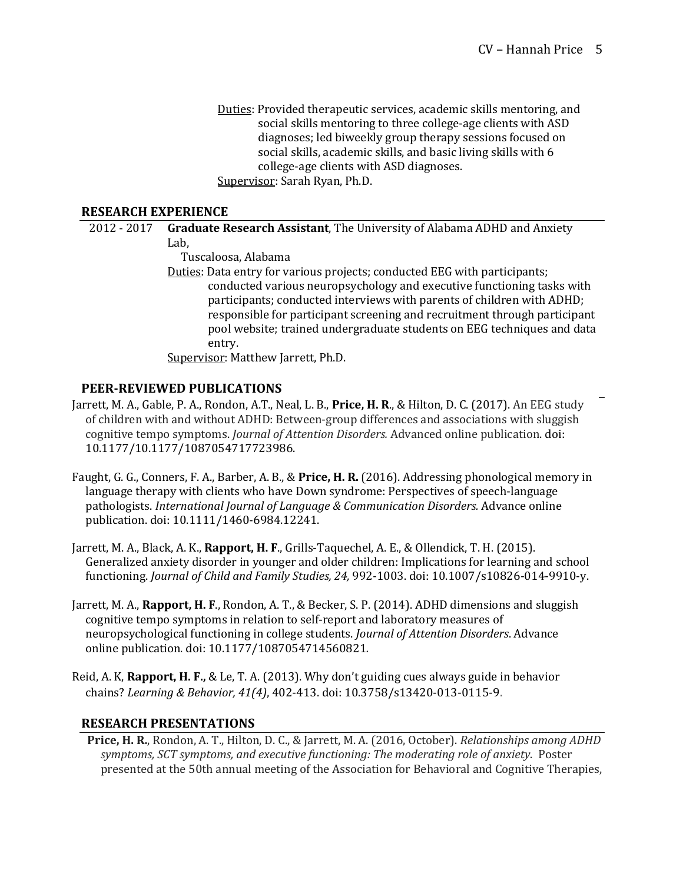Duties: Provided therapeutic services, academic skills mentoring, and social skills mentoring to three college-age clients with ASD diagnoses; led biweekly group therapy sessions focused on social skills, academic skills, and basic living skills with 6 college-age clients with ASD diagnoses. Supervisor: Sarah Ryan, Ph.D.

### **RESEARCH EXPERIENCE**

2012 - 2017 **Graduate Research Assistant**, The University of Alabama ADHD and Anxiety Lab, 

 Tuscaloosa, Alabama

Duties: Data entry for various projects; conducted EEG with participants; conducted various neuropsychology and executive functioning tasks with participants; conducted interviews with parents of children with ADHD; responsible for participant screening and recruitment through participant pool website; trained undergraduate students on EEG techniques and data entry. 

Supervisor: Matthew Jarrett, Ph.D.

### **PEER-REVIEWED PUBLICATIONS**

- Jarrett, M. A., Gable, P. A., Rondon, A.T., Neal, L. B., Price, H. R., & Hilton, D. C. (2017). An EEG study of children with and without ADHD: Between-group differences and associations with sluggish cognitive tempo symptoms. *Journal of Attention Disorders.* Advanced online publication. doi: 10.1177/10.1177/1087054717723986.
- Faught, G. G., Conners, F. A., Barber, A. B., & Price, H. R. (2016). Addressing phonological memory in language therapy with clients who have Down syndrome: Perspectives of speech-language pathologists. *International Journal of Language & Communication Disorders.* Advance online publication. doi: 10.1111/1460-6984.12241.
- Jarrett, M. A., Black, A. K., **Rapport, H. F**., Grills-Taquechel, A. E., & Ollendick, T. H. (2015). Generalized anxiety disorder in younger and older children: Implications for learning and school functioning. *Journal of Child and Family Studies, 24, 992-1003. doi:* 10.1007/s10826-014-9910-y.
- Jarrett, M. A., **Rapport, H. F.**, Rondon, A. T., & Becker, S. P. (2014). ADHD dimensions and sluggish cognitive tempo symptoms in relation to self-report and laboratory measures of neuropsychological functioning in college students. *Journal of Attention Disorders*. Advance online publication. doi: 10.1177/1087054714560821*.*
- Reid, A. K, **Rapport, H. F.,** & Le, T. A. (2013). Why don't guiding cues always guide in behavior chains? *Learning & Behavior, 41(4)*, 402-413. doi: 10.3758/s13420-013-0115-9.

## **RESEARCH PRESENTATIONS**

**Price, H. R.**, Rondon, A. T., Hilton, D. C., & Jarrett, M. A. (2016, October). *Relationships among ADHD* symptoms, SCT symptoms, and executive functioning: The moderating role of anxiety. Poster presented at the 50th annual meeting of the Association for Behavioral and Cognitive Therapies,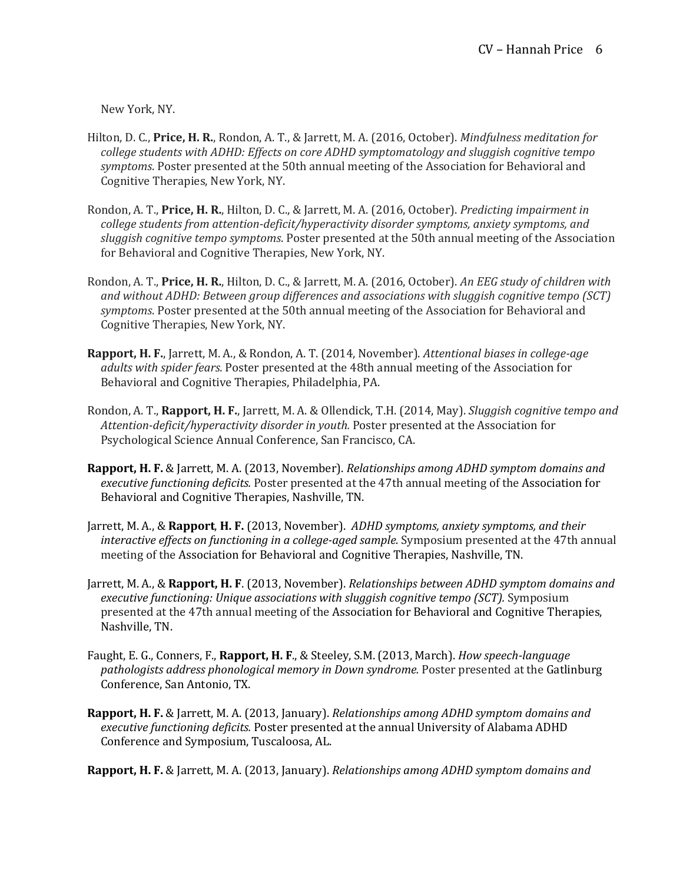New York, NY.

- Hilton, D. C., Price, H. R., Rondon, A. T., & Jarrett, M. A. (2016, October). *Mindfulness meditation for college students* with ADHD: Effects on core ADHD symptomatology and sluggish cognitive tempo symptoms. Poster presented at the 50th annual meeting of the Association for Behavioral and Cognitive Therapies, New York, NY.
- Rondon, A. T., Price, H. R., Hilton, D. C., & Jarrett, M. A. (2016, October). *Predicting impairment in* college students from attention-deficit/hyperactivity disorder symptoms, anxiety symptoms, and sluggish cognitive *tempo symptoms*. Poster presented at the 50th annual meeting of the Association for Behavioral and Cognitive Therapies, New York, NY.
- Rondon, A. T., Price, H. R., Hilton, D. C., & Jarrett, M. A. (2016, October). An EEG study of children with and without ADHD: Between group differences and associations with sluggish cognitive tempo (SCT) symptoms. Poster presented at the 50th annual meeting of the Association for Behavioral and Cognitive Therapies, New York, NY.
- **Rapport, H. F.**, Jarrett, M. A., & Rondon, A. T. (2014, November). Attentional biases in college-age *ddults with spider fears.* Poster presented at the 48th annual meeting of the Association for Behavioral and Cognitive Therapies, Philadelphia, PA.
- Rondon, A. T., **Rapport, H. F.**, Jarrett, M. A. & Ollendick, T.H. (2014, May). *Sluggish cognitive tempo and* Attention-deficit/hyperactivity disorder in youth. Poster presented at the Association for Psychological Science Annual Conference, San Francisco, CA.
- **Rapport, H. F.** & Jarrett, M. A. (2013, November). *Relationships among ADHD symptom domains and executive functioning deficits.* Poster presented at the 47th annual meeting of the Association for Behavioral and Cognitive Therapies, Nashville, TN.
- Jarrett, M. A., & **Rapport, H. F.** (2013, November). *ADHD symptoms, anxiety symptoms, and their interactive effects on functioning in a college-aged sample.* Symposium presented at the 47th annual meeting of the Association for Behavioral and Cognitive Therapies, Nashville, TN.
- Jarrett, M. A., & **Rapport, H. F**. (2013, November). *Relationships between ADHD symptom domains and executive functioning: Unique associations with sluggish cognitive tempo (SCT).* Symposium presented at the 47th annual meeting of the Association for Behavioral and Cognitive Therapies, Nashville, TN.
- Faught, E. G., Conners, F., Rapport, H. F., & Steeley, S.M. (2013, March). *How speech-language pathologists address phonological memory in Down syndrome.* Poster presented at the Gatlinburg Conference, San Antonio, TX.
- **Rapport, H. F.** & Jarrett, M. A. (2013, January). *Relationships among ADHD symptom domains and executive functioning deficits.* Poster presented at the annual University of Alabama ADHD Conference and Symposium, Tuscaloosa, AL.

**Rapport, H. F.** & Jarrett, M. A. (2013, January). *Relationships among ADHD symptom domains and*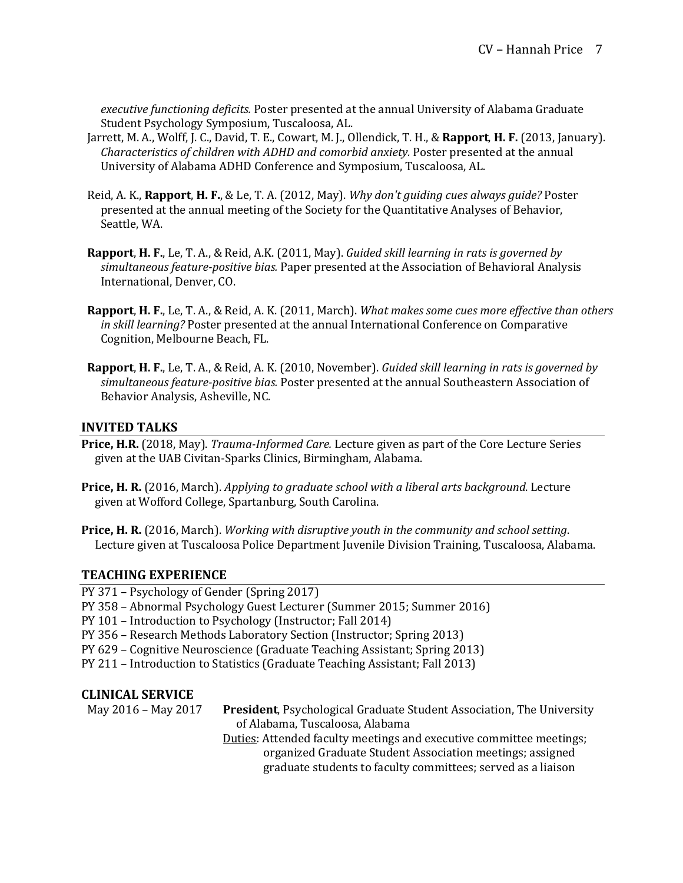*executive functioning deficits.* Poster presented at the annual University of Alabama Graduate Student Psychology Symposium, Tuscaloosa, AL.

- Jarrett, M. A., Wolff, J. C., David, T. E., Cowart, M. J., Ollendick, T. H., & Rapport, H. F. (2013, January). *Characteristics of children with ADHD and comorbid anxiety.* Poster presented at the annual University of Alabama ADHD Conference and Symposium, Tuscaloosa, AL.
- Reid, A. K., **Rapport, H. F.**, & Le, T. A. (2012, May). *Why don't guiding cues always guide?* Poster presented at the annual meeting of the Society for the Quantitative Analyses of Behavior, Seattle, WA.
- **Rapport, H. F.,** Le, T. A., & Reid, A.K. (2011, May). *Guided skill learning in rats is governed by* simultaneous *feature-positive bias.* Paper presented at the Association of Behavioral Analysis International, Denver, CO.
- **Rapport, H. F.,** Le, T. A., & Reid, A. K. (2011, March). *What makes some cues more effective than others in skill learning?* Poster presented at the annual International Conference on Comparative Cognition, Melbourne Beach, FL.
- **Rapport, H. F.,** Le, T. A., & Reid, A. K. (2010, November). *Guided skill learning in rats is governed by* simultaneous feature-positive bias. Poster presented at the annual Southeastern Association of Behavior Analysis, Asheville, NC.

## **INVITED TALKS**

- **Price, H.R.** (2018, May). *Trauma-Informed Care.* Lecture given as part of the Core Lecture Series given at the UAB Civitan-Sparks Clinics, Birmingham, Alabama.
- **Price, H. R.** (2016, March). *Applying to graduate school with a liberal arts background*. Lecture given at Wofford College, Spartanburg, South Carolina.
- **Price, H. R.** (2016, March). *Working with disruptive youth in the community and school setting.* Lecture given at Tuscaloosa Police Department Juvenile Division Training, Tuscaloosa, Alabama.

#### **TEACHING EXPERIENCE**

- PY 371 Psychology of Gender (Spring 2017)
- PY 358 Abnormal Psychology Guest Lecturer (Summer 2015; Summer 2016)
- PY 101 Introduction to Psychology (Instructor; Fall 2014)
- PY 356 Research Methods Laboratory Section (Instructor; Spring 2013)
- PY 629 Cognitive Neuroscience (Graduate Teaching Assistant; Spring 2013)
- PY 211 Introduction to Statistics (Graduate Teaching Assistant; Fall 2013)

### **CLINICAL SERVICE**

May 2016 - May 2017 President, Psychological Graduate Student Association, The University of Alabama, Tuscaloosa, Alabama Duties: Attended faculty meetings and executive committee meetings; organized Graduate Student Association meetings; assigned graduate students to faculty committees; served as a liaison